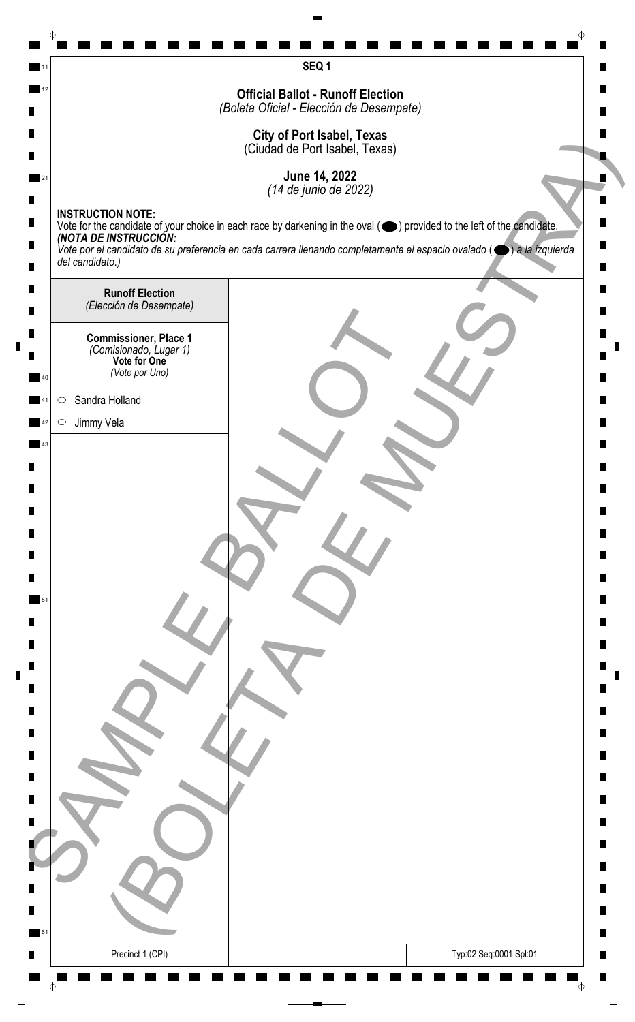|    | SEQ1                                                                                                                                                                                   |   |
|----|----------------------------------------------------------------------------------------------------------------------------------------------------------------------------------------|---|
| 12 | <b>Official Ballot - Runoff Election</b>                                                                                                                                               |   |
|    | (Boleta Oficial - Elección de Desempate)                                                                                                                                               |   |
|    | <b>City of Port Isabel, Texas</b><br>(Ciudad de Port Isabel, Texas)                                                                                                                    |   |
|    | June 14, 2022                                                                                                                                                                          |   |
|    | (14 de junio de 2022)                                                                                                                                                                  |   |
|    | <b>INSTRUCTION NOTE:</b><br>Vote for the candidate of your choice in each race by darkening in the oval ( $\bigcirc$ ) provided to the left of the candidate.<br>(NOTA DE INSTRUCCIÓN: |   |
|    | Vote por el candidato de su preferencia en cada carrera llenando completamente el espacio ovalado ( $\bigcirc$ ) a la izquierda                                                        |   |
|    | del candidato.)                                                                                                                                                                        |   |
|    | <b>Runoff Election</b><br>(Elección de Desempate)                                                                                                                                      |   |
|    |                                                                                                                                                                                        |   |
|    | <b>Commissioner, Place 1</b><br>(Comisionado, Lugar 1)<br>Vote for One                                                                                                                 |   |
|    | (Vote por Uno)                                                                                                                                                                         |   |
|    | Sandra Holland<br>$\circ$                                                                                                                                                              |   |
|    | Jimmy Vela<br>$\circ$                                                                                                                                                                  |   |
| 43 |                                                                                                                                                                                        |   |
|    |                                                                                                                                                                                        |   |
|    |                                                                                                                                                                                        |   |
|    |                                                                                                                                                                                        |   |
|    |                                                                                                                                                                                        |   |
|    |                                                                                                                                                                                        |   |
|    |                                                                                                                                                                                        |   |
|    |                                                                                                                                                                                        |   |
|    |                                                                                                                                                                                        |   |
|    |                                                                                                                                                                                        |   |
|    |                                                                                                                                                                                        |   |
|    |                                                                                                                                                                                        |   |
|    |                                                                                                                                                                                        |   |
|    |                                                                                                                                                                                        |   |
|    |                                                                                                                                                                                        |   |
|    |                                                                                                                                                                                        |   |
|    |                                                                                                                                                                                        |   |
|    |                                                                                                                                                                                        |   |
|    |                                                                                                                                                                                        |   |
|    |                                                                                                                                                                                        |   |
| 61 |                                                                                                                                                                                        | ш |